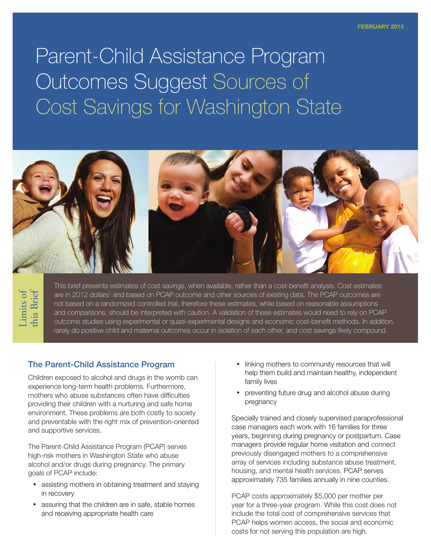Parent-Child Assistance Program Outcomes Suggest Sources of Cost Savings for Washington State



This brief presents estimates of cost savings, when available, rather than a cost-benefit analysis. Cost estimates are in 2012 dollars<sup>1</sup> and based on PCAP outcome and other sources of existing data. The PCAP outcomes are not based on a randomized controlled trial, therefore these estimates, while based on reasonable assumptions and comparisons, should be interpreted with caution. A validation of these estimates would need to rely on PCAP outcome studies using experimental or quasi-experimental designs and economic cost-benefit methods. In addition, rarely do positive child and maternal outcomes occur in isolation of each other, and cost savings likely compound.

#### The Parent-Child Assistance Program

Children exposed to alcohol and drugs in the womb can experience long-term health problems. Furthermore, mothers who abuse substances often have difficulties providing their children with a nurturing and safe home environment. These problems are both costly to society and preventable with the right mix of prevention-oriented and supportive services.

The Parent-Child Assistance Program (PCAP) serves high-risk mothers in Washington State who abuse alcohol and/or drugs during pregnancy. The primary goals of PCAP include:

- assisting mothers in obtaining treatment and staying in recovery
- assuring that the children are in safe, stable homes and receiving appropriate health care
- linking mothers to community resources that will help them build and maintain healthy, independent family lives
- preventing future drug and alcohol abuse during pregnancy

Specially trained and closely supervised paraprofessional case managers each work with 16 families for three years, beginning during pregnancy or postpartum. Case managers provide regular home visitation and connect previously disengaged mothers to a comprehensive array of services including substance abuse treatment, housing, and mental health services. PCAP serves approximately 735 families annually in nine counties.

PCAP costs approximately \$5,000 per mother per year for a three-year program. While this cost does not include the total cost of comprehensive services that PCAP helps women access, the social and economic costs for not serving this population are high.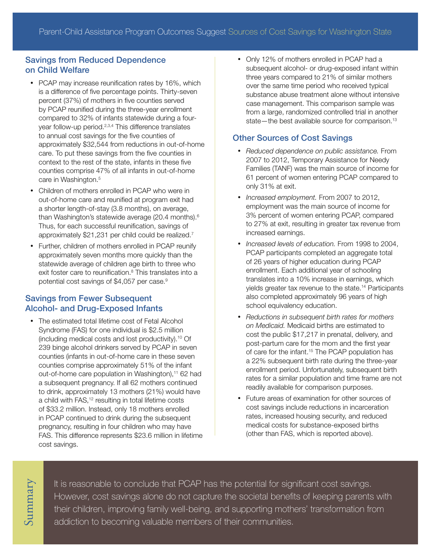## Savings from Reduced Dependence on Child Welfare

- PCAP may increase reunification rates by 16%, which is a difference of five percentage points. Thirty-seven percent (37%) of mothers in five counties served by PCAP reunified during the three-year enrollment compared to 32% of infants statewide during a fouryear follow-up period.<sup>2,3,4</sup> This difference translates to annual cost savings for the five counties of approximately \$32,544 from reductions in out-of-home care. To put these savings from the five counties in context to the rest of the state, infants in these five counties comprise 47% of all infants in out-of-home care in Washington.<sup>5</sup>
- Children of mothers enrolled in PCAP who were in out-of-home care and reunified at program exit had a shorter length-of-stay (3.8 months), on average, than Washington's statewide average (20.4 months).<sup>6</sup> Thus, for each successful reunification, savings of approximately \$21,231 per child could be realized.7
- Further, children of mothers enrolled in PCAP reunify approximately seven months more quickly than the statewide average of children age birth to three who exit foster care to reunification.<sup>8</sup> This translates into a potential cost savings of \$4,057 per case.<sup>9</sup>

# Savings from Fewer Subsequent Alcohol- and Drug-Exposed Infants

• The estimated total lifetime cost of Fetal Alcohol Syndrome (FAS) for one individual is \$2.5 million (including medical costs and lost productivity).10 Of 239 binge alcohol drinkers served by PCAP in seven counties (infants in out-of-home care in these seven counties comprise approximately 51% of the infant out-of-home care population in Washington),<sup>11</sup> 62 had a subsequent pregnancy. If all 62 mothers continued to drink, approximately 13 mothers (21%) would have a child with FAS,<sup>12</sup> resulting in total lifetime costs of \$33.2 million. Instead, only 18 mothers enrolled in PCAP continued to drink during the subsequent pregnancy, resulting in four children who may have FAS. This difference represents \$23.6 million in lifetime cost savings.

• Only 12% of mothers enrolled in PCAP had a subsequent alcohol- or drug-exposed infant within three years compared to 21% of similar mothers over the same time period who received typical substance abuse treatment alone without intensive case management. This comparison sample was from a large, randomized controlled trial in another state—the best available source for comparison.<sup>13</sup>

### Other Sources of Cost Savings

- • *Reduced dependence on public assistance.* From 2007 to 2012, Temporary Assistance for Needy Families (TANF) was the main source of income for 61 percent of women entering PCAP compared to only 31% at exit.
- • *Increased employment.* From 2007 to 2012, employment was the main source of income for 3% percent of women entering PCAP, compared to 27% at exit, resulting in greater tax revenue from increased earnings.
- • *Increased levels of education.* From 1998 to 2004, PCAP participants completed an aggregate total of 26 years of higher education during PCAP enrollment. Each additional year of schooling translates into a 10% increase in earnings, which yields greater tax revenue to the state.14 Participants also completed approximately 96 years of high school equivalency education.
- • *Reductions in subsequent birth rates for mothers on Medicaid.* Medicaid births are estimated to cost the public \$17,217 in prenatal, delivery, and post-partum care for the mom and the first year of care for the infant.<sup>15</sup> The PCAP population has a 22% subsequent birth rate during the three-year enrollment period. Unfortunately, subsequent birth rates for a similar population and time frame are not readily available for comparison purposes.
- Future areas of examination for other sources of cost savings include reductions in incarceration rates, increased housing security, and reduced medical costs for substance-exposed births (other than FAS, which is reported above).

It is reasonable to conclude that PCAP has the potential for significant cost savings. However, cost savings alone do not capture the societal benefits of keeping parents with their children, improving family well-being, and supporting mothers' transformation from addiction to becoming valuable members of their communities.